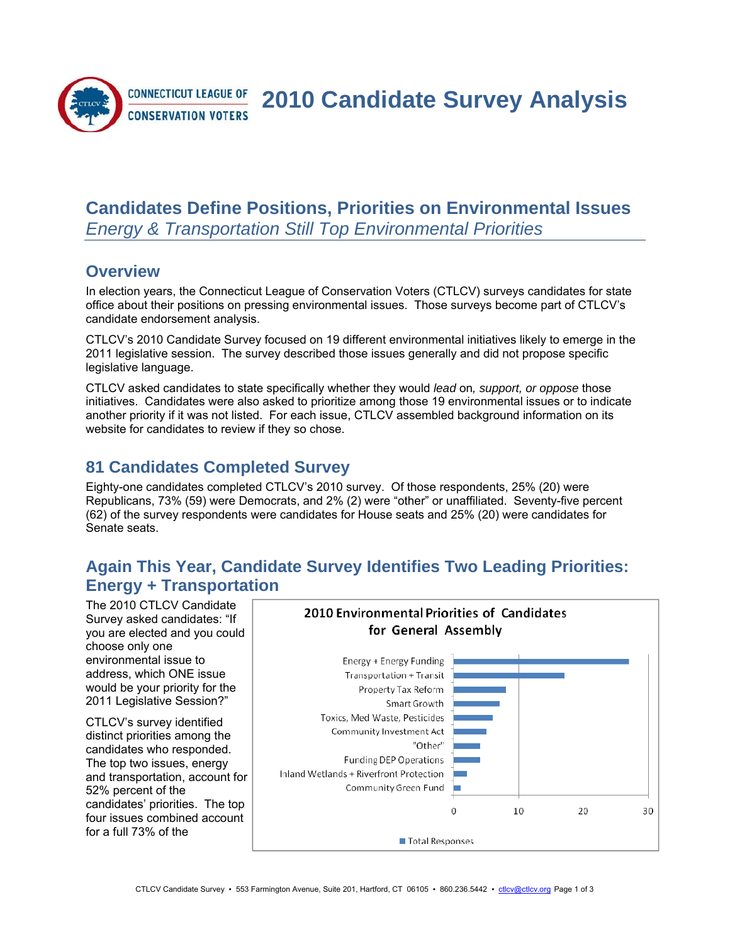

# **Candidates Define Positions, Priorities on Environmental Issues**  *Energy & Transportation Still Top Environmental Priorities*

#### **Overview**

In election years, the Connecticut League of Conservation Voters (CTLCV) surveys candidates for state office about their positions on pressing environmental issues. Those surveys become part of CTLCV's candidate endorsement analysis.

CTLCV's 2010 Candidate Survey focused on 19 different environmental initiatives likely to emerge in the 2011 legislative session. The survey described those issues generally and did not propose specific legislative language.

CTLCV asked candidates to state specifically whether they would *lead* on*, support, or oppose* those initiatives. Candidates were also asked to prioritize among those 19 environmental issues or to indicate another priority if it was not listed. For each issue, CTLCV assembled background information on its website for candidates to review if they so chose.

### **81 Candidates Completed Survey**

Eighty-one candidates completed CTLCV's 2010 survey. Of those respondents, 25% (20) were Republicans, 73% (59) were Democrats, and 2% (2) were "other" or unaffiliated. Seventy-five percent (62) of the survey respondents were candidates for House seats and 25% (20) were candidates for Senate seats.

## **Again This Year, Candidate Survey Identifies Two Leading Priorities: Energy + Transportation**

The 2010 CTLCV Candidate Survey asked candidates: "If you are elected and you could choose only one environmental issue to address, which ONE issue would be your priority for the 2011 Legislative Session?"

CTLCV's survey identified distinct priorities among the candidates who responded. The top two issues, energy and transportation, account for 52% percent of the candidates' priorities. The top four issues combined account for a full 73% of the

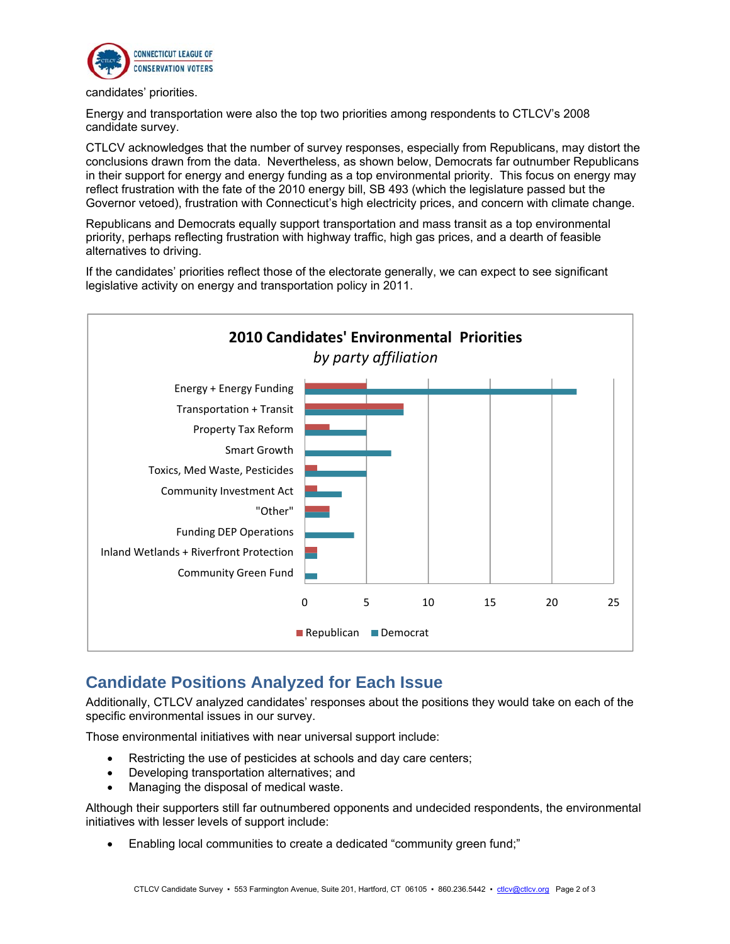

candidates' priorities.

Energy and transportation were also the top two priorities among respondents to CTLCV's 2008 candidate survey.

CTLCV acknowledges that the number of survey responses, especially from Republicans, may distort the conclusions drawn from the data. Nevertheless, as shown below, Democrats far outnumber Republicans in their support for energy and energy funding as a top environmental priority. This focus on energy may reflect frustration with the fate of the 2010 energy bill, SB 493 (which the legislature passed but the Governor vetoed), frustration with Connecticut's high electricity prices, and concern with climate change.

Republicans and Democrats equally support transportation and mass transit as a top environmental priority, perhaps reflecting frustration with highway traffic, high gas prices, and a dearth of feasible alternatives to driving.

If the candidates' priorities reflect those of the electorate generally, we can expect to see significant legislative activity on energy and transportation policy in 2011.



#### **Candidate Positions Analyzed for Each Issue**

Additionally, CTLCV analyzed candidates' responses about the positions they would take on each of the specific environmental issues in our survey.

Those environmental initiatives with near universal support include:

- Restricting the use of pesticides at schools and day care centers;
- Developing transportation alternatives; and
- Managing the disposal of medical waste.

Although their supporters still far outnumbered opponents and undecided respondents, the environmental initiatives with lesser levels of support include:

Enabling local communities to create a dedicated "community green fund;"